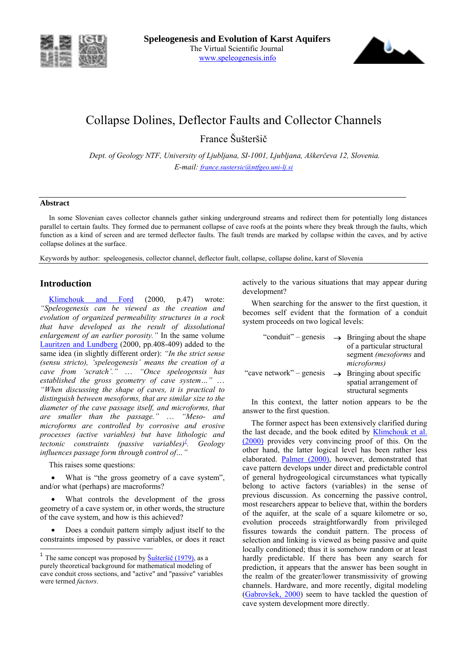



# Collapse Dolines, Deflector Faults and Collector Channels

France äuöteröič

*Dept. of Geology NTF, University of Ljubljana, SI-1001, Ljubljana, Aökerčeva 12, Slovenia. E-mail: france.sustersic@ntfgeo.uni-lj.si* 

### **Abstract**

In some Slovenian caves collector channels gather sinking underground streams and redirect them for potentially long distances parallel to certain faults. They formed due to permanent collapse of cave roofs at the points where they break through the faults, which function as a kind of screen and are termed deflector faults. The fault trends are marked by collapse within the caves, and by active collapse dolines at the surface.

Keywords by author: speleogenesis, collector channel, deflector fault, collapse, collapse doline, karst of Slovenia

# **Introduction**

Klimchouk and Ford (2000, p.47) wrote: *ìSpeleogenesis can be viewed as the creation and evolution of organized permeability structures in a rock that have developed as the result of dissolutional*  enlargement of an earlier porosity.<sup>"</sup> In the same volume Lauritzen and Lundberg (2000, pp.408-409) added to the same idea (in slightly different order): *"In the strict sense (sensu stricto), ëspeleogenesisí means the creation of a cave from 'scratch'.*" ... "Once speleogensis has *established the gross geometry of cave system...*" ... *ìWhen discussing the shape of caves, it is practical to distinguish between mesoforms, that are similar size to the diameter of the cave passage itself, and microforms, that*  are smaller than the passage." ... "Meso- and *microforms are controlled by corrosive and erosive processes (active variables) but have lithologic and tectonic constraints (passive variables)*<sup>1</sup>. Geology *influences passage form through control of...* 

This raises some questions:

 $\overline{\phantom{a}}$ 

• What is "the gross geometry of a cave system", and/or what (perhaps) are macroforms?

• What controls the development of the gross geometry of a cave system or, in other words, the structure of the cave system, and how is this achieved?

Does a conduit pattern simply adjust itself to the constraints imposed by passive variables, or does it react actively to the various situations that may appear during development?

When searching for the answer to the first question, it becomes self evident that the formation of a conduit system proceeds on two logical levels:

| "conduit" – genesis      | $\rightarrow$ Bringing about the shape                                                 |
|--------------------------|----------------------------------------------------------------------------------------|
|                          | of a particular structural<br>segment (mesoforms and<br>microforms)                    |
| "cave network" – genesis | $\rightarrow$ Bringing about specific<br>spatial arrangement of<br>structural segments |

In this context, the latter notion appears to be the answer to the first question.

The former aspect has been extensively clarified during the last decade, and the book edited by **Klimchouk et al.** (2000) provides very convincing proof of this. On the other hand, the latter logical level has been rather less elaborated. Palmer (2000), however, demonstrated that cave pattern develops under direct and predictable control of general hydrogeological circumstances what typically belong to active factors (variables) in the sense of previous discussion. As concerning the passive control, most researchers appear to believe that, within the borders of the aquifer, at the scale of a square kilometre or so, evolution proceeds straightforwardly from privileged fissures towards the conduit pattern. The process of selection and linking is viewed as being passive and quite locally conditioned; thus it is somehow random or at least hardly predictable. If there has been any search for prediction, it appears that the answer has been sought in the realm of the greater/lower transmissivity of growing channels. Hardware, and more recently, digital modeling (Gabrovšek, 2000) seem to have tackled the question of cave system development more directly.

<sup>&</sup>lt;sup>1</sup> The same concept was proposed by  $\frac{\text{Sukteršič}}{1979}$ , as a purely theoretical background for mathematical modeling of cave conduit cross sections, and "active" and "passive" variables were termed *factors*.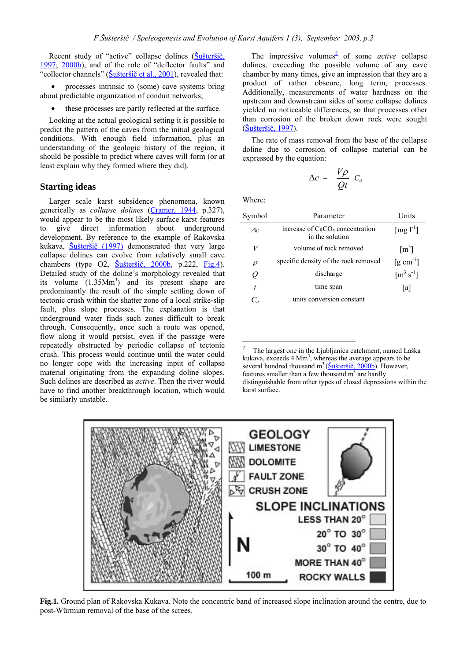Recent study of "active" collapse dolines (Šušteršič,  $1997$ ;  $2000b$ ), and of the role of "deflector faults" and "collector channels" (Šušteršič et al., 2001), revealed that:

• processes intrinsic to (some) cave systems bring about predictable organization of conduit networks;

• these processes are partly reflected at the surface.

Looking at the actual geological setting it is possible to predict the pattern of the caves from the initial geological conditions. With enough field information, plus an understanding of the geologic history of the region, it should be possible to predict where caves will form (or at least explain why they formed where they did).

## **Starting ideas**

Larger scale karst subsidence phenomena, known generically as *collapse dolines* (Cramer, 1944, p.327), would appear to be the most likely surface karst features to give direct information about underground development. By reference to the example of Rakovska kukava, <u>Šušteršič (1997)</u> demonstrated that very large collapse dolines can evolve from relatively small cave chambers (type O2, <u>Šušteršič, 2000b</u>, p.222, Fig.4). Detailed study of the doline's morphology revealed that its volume  $(1.35Mm<sup>3</sup>)$  and its present shape are predominantly the result of the simple settling down of tectonic crush within the shatter zone of a local strike-slip fault, plus slope processes. The explanation is that underground water finds such zones difficult to break through. Consequently, once such a route was opened, flow along it would persist, even if the passage were repeatedly obstructed by periodic collapse of tectonic crush. This process would continue until the water could no longer cope with the increasing input of collapse material originating from the expanding doline slopes. Such dolines are described as *active*. Then the river would have to find another breakthrough location, which would be similarly unstable.

The impressive volumes<sup>2</sup> of some *active* collapse dolines, exceeding the possible volume of any cave chamber by many times, give an impression that they are a product of rather obscure, long term, processes. Additionally, measurements of water hardness on the upstream and downstream sides of some collapse dolines yielded no noticeable differences, so that processes other than corrosion of the broken down rock were sought (äuöteröič, 1997).

The rate of mass removal from the base of the collapse doline due to corrosion of collapse material can be expressed by the equation:

 $\Delta c = \frac{V\rho}{Qt} C_u$ 

Where:

| Symbol      | Parameter                                            | Units                                      |
|-------------|------------------------------------------------------|--------------------------------------------|
| $\Lambda c$ | increase of $CaCO3$ concentration<br>in the solution | $\lceil \text{mg } l^{-1} \rceil$          |
| V           | volume of rock removed                               | $\lceil m^3 \rceil$                        |
| $\rho$      | specific density of the rock removed                 | $\left[\text{g cm}^{-1}\right]$            |
| Q           | discharge                                            | $\left[\text{m}^{3} \text{ s}^{-1}\right]$ |
| t           | time span                                            | [a]                                        |
|             | units conversion constant                            |                                            |

 $\frac{1}{2}$  The largest one in the Ljubljanica catchment, named Laöka kukava, exceeds  $4 \text{ Mm}^3$ , whereas the average appears to be several hundred thousand  $m^3$  ( $\underline{\text{Sukterši\check{c}, 2000b}}$ ). However, features smaller than a few thousand  $m<sup>3</sup>$  are hardly distinguishable from other types of closed depressions within the karst surface.



**Fig.1.** Ground plan of Rakovska Kukava. Note the concentric band of increased slope inclination around the centre, due to post-Würmian removal of the base of the screes.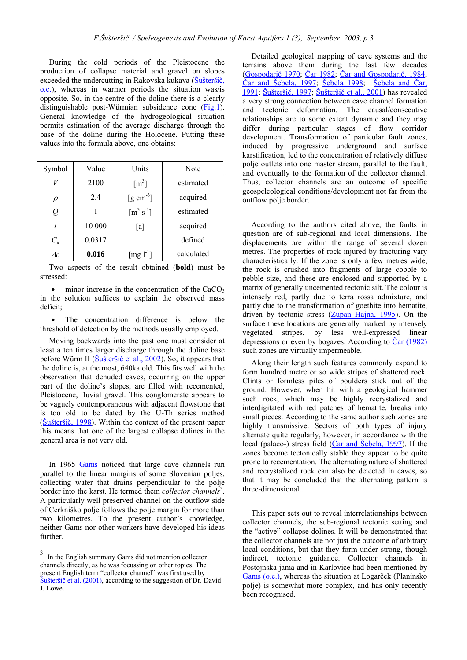During the cold periods of the Pleistocene the production of collapse material and gravel on slopes exceeded the undercutting in Rakovska kukava (Šušteršič,  $Q.C.$ ), whereas in warmer periods the situation was/is opposite. So, in the centre of the doline there is a clearly distinguishable post-Würmian subsidence cone (Fig.1). General knowledge of the hydrogeological situation permits estimation of the average discharge through the base of the doline during the Holocene. Putting these values into the formula above, one obtains:

| Symbol      | Value  | Units                                      | Note       |
|-------------|--------|--------------------------------------------|------------|
| V           | 2100   | $\lceil m^3 \rceil$                        | estimated  |
| $\rho$      | 2.4    | $\left[\text{g cm}^3\right]$               | acquired   |
| Q           |        | $\left[\text{m}^{3} \text{ s}^{-1}\right]$ | estimated  |
| t           | 10 000 | [a]                                        | acquired   |
| $C_u$       | 0.0317 |                                            | defined    |
| $\Lambda c$ | 0.016  | [mg $l^{-1}$ ]                             | calculated |

Two aspects of the result obtained (**bold**) must be stressed:

• minor increase in the concentration of the  $CaCO<sub>3</sub>$ in the solution suffices to explain the observed mass deficit;

• The concentration difference is below the threshold of detection by the methods usually employed.

Moving backwards into the past one must consider at least a ten times larger discharge through the doline base before Würm II ( $\text{\r{S}u\r{S}ter\r{S}ic}$  et al., 2002). So, it appears that the doline is, at the most, 640ka old. This fits well with the observation that denuded caves, occurring on the upper part of the doline's slopes, are filled with recemented, Pleistocene, fluvial gravel. This conglomerate appears to be vaguely contemporaneous with adjacent flowstone that is too old to be dated by the U-Th series method  $(\text{Šušteršič}, 1998)$ . Within the context of the present paper this means that one of the largest collapse dolines in the general area is not very old.

In 1965 Gams noticed that large cave channels run parallel to the linear margins of some Slovenian poljes, collecting water that drains perpendicular to the polje border into the karst. He termed them *collector channels*<sup>3</sup>. A particularly well preserved channel on the outflow side of Cerkniöko polje follows the polje margin for more than two kilometres. To the present author's knowledge, neither Gams nor other workers have developed his ideas further.

Detailed geological mapping of cave systems and the terrains above them during the last few decades (Gospodarič 1970; Čar 1982; Čar and Gospodarič, 1984; Čar and äebela, 1997; äebela 1998; äebela and Čar, 1991; äuöteröič, 1997; äuöteröič et al., 2001) has revealed a very strong connection between cave channel formation and tectonic deformation. The causal/consecutive relationships are to some extent dynamic and they may differ during particular stages of flow corridor development. Transformation of particular fault zones, induced by progressive underground and surface karstification, led to the concentration of relatively diffuse polje outlets into one master stream, parallel to the fault, and eventually to the formation of the collector channel. Thus, collector channels are an outcome of specific geospeleological conditions/development not far from the outflow polje border.

According to the authors cited above, the faults in question are of sub-regional and local dimensions. The displacements are within the range of several dozen metres. The properties of rock injured by fracturing vary characteristically. If the zone is only a few metres wide, the rock is crushed into fragments of large cobble to pebble size, and these are enclosed and supported by a matrix of generally uncemented tectonic silt. The colour is intensely red, partly due to terra rossa admixture, and partly due to the transformation of goethite into hematite, driven by tectonic stress (Zupan Hajna, 1995). On the surface these locations are generally marked by intensely vegetated stripes, by less well-expressed linear depressions or even by bogazes. According to Čar (1982) such zones are virtually impermeable.

Along their length such features commonly expand to form hundred metre or so wide stripes of shattered rock. Clints or formless piles of boulders stick out of the ground. However, when hit with a geological hammer such rock, which may be highly recrystalized and interdigitated with red patches of hematite, breaks into small pieces. According to the same author such zones are highly transmissive. Sectors of both types of injury alternate quite regularly, however, in accordance with the local (palaeo-) stress field (Čar and Šebela, 1997). If the zones become tectonically stable they appear to be quite prone to recementation. The alternating nature of shattered and recrystalized rock can also be detected in caves, so that it may be concluded that the alternating pattern is three-dimensional.

This paper sets out to reveal interrelationships between collector channels, the sub-regional tectonic setting and the "active" collapse dolines. It will be demonstrated that the collector channels are not just the outcome of arbitrary local conditions, but that they form under strong, though indirect, tectonic guidance. Collector channels in Postojnska jama and in Karlovice had been mentioned by Gams (o.c.), whereas the situation at Logarček (Planinsko polje) is somewhat more complex, and has only recently been recognised.

<sup>3</sup> In the English summary Gams did not mention collector channels directly, as he was focussing on other topics. The present English term "collector channel" was first used by Šušteršič et al.  $(2001)$ , according to the suggestion of Dr. David J. Lowe.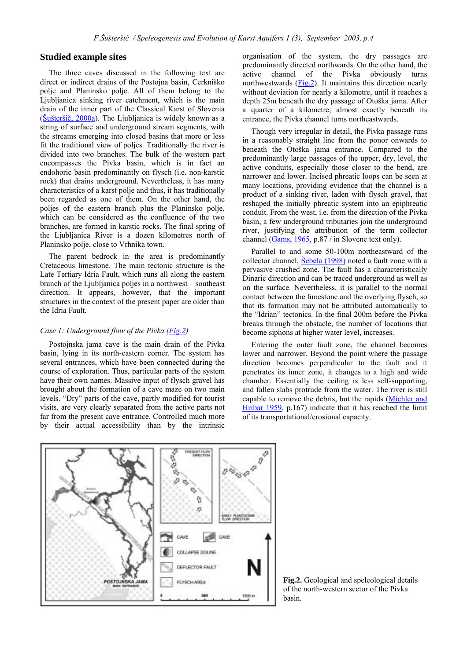# **Studied example sites**

The three caves discussed in the following text are direct or indirect drains of the Postojna basin, Cerkniöko polje and Planinsko polje. All of them belong to the Ljubljanica sinking river catchment, which is the main drain of the inner part of the Classical Karst of Slovenia  $(\underline{\text{Šušteršič}}, 2000a)$ . The Ljubljanica is widely known as a string of surface and underground stream segments, with the streams emerging into closed basins that more or less fit the traditional view of poljes. Traditionally the river is divided into two branches. The bulk of the western part encompasses the Pivka basin, which is in fact an endohoric basin predominantly on flysch (i.e. non-karstic rock) that drains underground. Nevertheless, it has many characteristics of a karst polje and thus, it has traditionally been regarded as one of them. On the other hand, the poljes of the eastern branch plus the Planinsko polje, which can be considered as the confluence of the two branches, are formed in karstic rocks. The final spring of the Ljubljanica River is a dozen kilometres north of Planinsko polje, close to Vrhnika town.

The parent bedrock in the area is predominantly Cretaceous limestone. The main tectonic structure is the Late Tertiary Idria Fault, which runs all along the eastern branch of the Ljubljanica poljes in a northwest  $-$  southeast direction. It appears, however, that the important structures in the context of the present paper are older than the Idria Fault.

# *Case 1: Underground flow of the Pivka (Fig.2)*

Postojnska jama cave is the main drain of the Pivka basin, lying in its north-eastern corner. The system has several entrances, which have been connected during the course of exploration. Thus, particular parts of the system have their own names. Massive input of flysch gravel has brought about the formation of a cave maze on two main levels. "Dry" parts of the cave, partly modified for tourist visits, are very clearly separated from the active parts not far from the present cave entrance. Controlled much more by their actual accessibility than by the intrinsic

organisation of the system, the dry passages are predominantly directed northwards. On the other hand, the active channel of the Pivka obviously turns northwestwards (Fig.2). It maintains this direction nearly without deviation for nearly a kilometre, until it reaches a depth 25m beneath the dry passage of Otoöka jama. After a quarter of a kilometre, almost exactly beneath its entrance, the Pivka channel turns northeastwards.

Though very irregular in detail, the Pivka passage runs in a reasonably straight line from the ponor onwards to beneath the Otoöka jama entrance. Compared to the predominantly large passages of the upper, dry, level, the active conduits, especially those closer to the bend, are narrower and lower. Incised phreatic loops can be seen at many locations, providing evidence that the channel is a product of a sinking river, laden with flysch gravel, that reshaped the initially phreatic system into an epiphreatic conduit. From the west, i.e. from the direction of the Pivka basin, a few underground tributaries join the underground river, justifying the attribution of the term collector channel (Gams, 1965, p.87 / in Slovene text only).

Parallel to and some 50-100m northeastward of the collector channel, Sebela (1998) noted a fault zone with a pervasive crushed zone. The fault has a characteristically Dinaric direction and can be traced underground as well as on the surface. Nevertheless, it is parallel to the normal contact between the limestone and the overlying flysch, so that its formation may not be attributed automatically to the "Idrian" tectonics. In the final 200m before the Pivka breaks through the obstacle, the number of locations that become siphons at higher water level, increases.

Entering the outer fault zone, the channel becomes lower and narrower. Beyond the point where the passage direction becomes perpendicular to the fault and it penetrates its inner zone, it changes to a high and wide chamber. Essentially the ceiling is less self-supporting, and fallen slabs protrude from the water. The river is still capable to remove the debris, but the rapids (Michler and Hribar 1959, p.167) indicate that it has reached the limit of its transportational/erosional capacity.



**Fig.2.** Geological and speleological details of the north-western sector of the Pivka basin.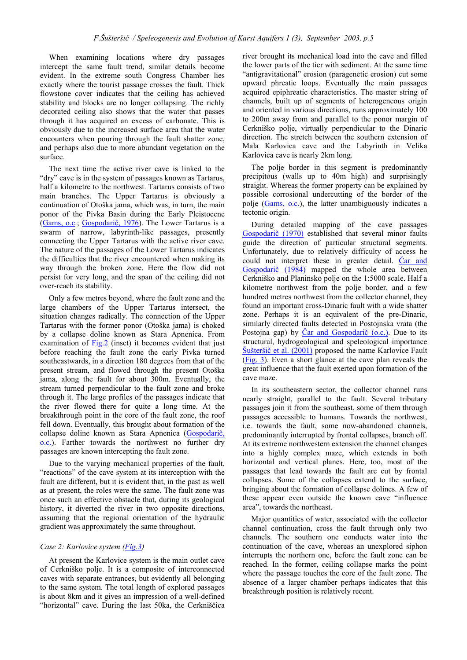When examining locations where dry passages intercept the same fault trend, similar details become evident. In the extreme south Congress Chamber lies exactly where the tourist passage crosses the fault. Thick flowstone cover indicates that the ceiling has achieved stability and blocks are no longer collapsing. The richly decorated ceiling also shows that the water that passes through it has acquired an excess of carbonate. This is obviously due to the increased surface area that the water encounters when pouring through the fault shatter zone, and perhaps also due to more abundant vegetation on the surface.

The next time the active river cave is linked to the "dry" cave is in the system of passages known as Tartarus, half a kilometre to the northwest. Tartarus consists of two main branches. The Upper Tartarus is obviously a continuation of Otoöka jama, which was, in turn, the main ponor of the Pivka Basin during the Early Pleistocene (Gams, o.c.; Gospodarič, 1976). The Lower Tartarus is a swarm of narrow, labyrinth-like passages, presently connecting the Upper Tartarus with the active river cave. The nature of the passages of the Lower Tartarus indicates the difficulties that the river encountered when making its way through the broken zone. Here the flow did not persist for very long, and the span of the ceiling did not over-reach its stability.

Only a few metres beyond, where the fault zone and the large chambers of the Upper Tartarus intersect, the situation changes radically. The connection of the Upper Tartarus with the former ponor (Otoöka jama) is choked by a collapse doline known as Stara Apnenica. From examination of Fig.2 (inset) it becomes evident that just before reaching the fault zone the early Pivka turned southeastwards, in a direction 180 degrees from that of the present stream, and flowed through the present Otoöka jama, along the fault for about 300m. Eventually, the stream turned perpendicular to the fault zone and broke through it. The large profiles of the passages indicate that the river flowed there for quite a long time. At the breakthrough point in the core of the fault zone, the roof fell down. Eventually, this brought about formation of the collapse doline known as Stara Apnenica (Gospodarič, o.c.). Farther towards the northwest no further dry passages are known intercepting the fault zone.

Due to the varying mechanical properties of the fault, "reactions" of the cave system at its interception with the fault are different, but it is evident that, in the past as well as at present, the roles were the same. The fault zone was once such an effective obstacle that, during its geological history, it diverted the river in two opposite directions, assuming that the regional orientation of the hydraulic gradient was approximately the same throughout.

#### *Case 2: Karlovice system (Fig.3)*

At present the Karlovice system is the main outlet cave of Cerkniöko polje. It is a composite of interconnected caves with separate entrances, but evidently all belonging to the same system. The total length of explored passages is about 8km and it gives an impression of a well-defined "horizontal" cave. During the last 50ka, the Cerkniščica river brought its mechanical load into the cave and filled the lower parts of the tier with sediment. At the same time "antigravitational" erosion (paragenetic erosion) cut some upward phreatic loops. Eventually the main passages acquired epiphreatic characteristics. The master string of channels, built up of segments of heterogeneous origin and oriented in various directions, runs approximately 100 to 200m away from and parallel to the ponor margin of Cerkniöko polje, virtually perpendicular to the Dinaric direction. The stretch between the southern extension of Mala Karlovica cave and the Labyrinth in Velika Karlovica cave is nearly 2km long.

The polje border in this segment is predominantly precipitous (walls up to 40m high) and surprisingly straight. Whereas the former property can be explained by possible corrosional undercutting of the border of the polje (Gams, o.c.), the latter unambiguously indicates a tectonic origin.

During detailed mapping of the cave passages Gospodarič (1970) established that several minor faults guide the direction of particular structural segments. Unfortunately, due to relatively difficulty of access he could not interpret these in greater detail. Car and Gospodarič (1984) mapped the whole area between Cerkniöko and Planinsko polje on the 1:5000 scale. Half a kilometre northwest from the polje border, and a few hundred metres northwest from the collector channel, they found an important cross-Dinaric fault with a wide shatter zone. Perhaps it is an equivalent of the pre-Dinaric, similarly directed faults detected in Postojnska vrata (the Postojna gap) by Čar and Gospodarič (o.c.). Due to its structural, hydrogeological and speleological importance Šušteršič et al. (2001) proposed the name Karlovice Fault (Fig. 3). Even a short glance at the cave plan reveals the great influence that the fault exerted upon formation of the cave maze.

In its southeastern sector, the collector channel runs nearly straight, parallel to the fault. Several tributary passages join it from the southeast, some of them through passages accessible to humans. Towards the northwest, i.e. towards the fault, some now-abandoned channels, predominantly interrupted by frontal collapses, branch off. At its extreme northwestern extension the channel changes into a highly complex maze, which extends in both horizontal and vertical planes. Here, too, most of the passages that lead towards the fault are cut by frontal collapses. Some of the collapses extend to the surface, bringing about the formation of collapse dolines. A few of these appear even outside the known cave "influence" areaî, towards the northeast.

Major quantities of water, associated with the collector channel continuation, cross the fault through only two channels. The southern one conducts water into the continuation of the cave, whereas an unexplored siphon interrupts the northern one, before the fault zone can be reached. In the former, ceiling collapse marks the point where the passage touches the core of the fault zone. The absence of a larger chamber perhaps indicates that this breakthrough position is relatively recent.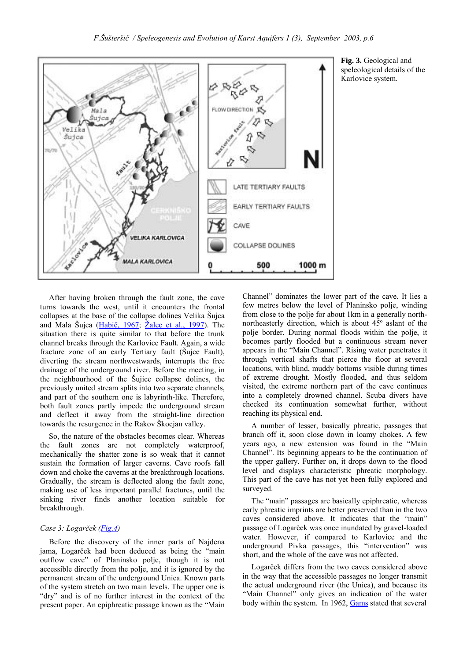

**Fig. 3.** Geological and speleological details of the Karlovice system.

After having broken through the fault zone, the cave turns towards the west, until it encounters the frontal collapses at the base of the collapse dolines Velika äujca and Mala Šujca (Habič, 1967; Žalec et al., 1997). The situation there is quite similar to that before the trunk channel breaks through the Karlovice Fault. Again, a wide fracture zone of an early Tertiary fault (äujce Fault), diverting the stream northwestwards, interrupts the free drainage of the underground river. Before the meeting, in the neighbourhood of the äujice collapse dolines, the previously united stream splits into two separate channels, and part of the southern one is labyrinth-like. Therefore, both fault zones partly impede the underground stream and deflect it away from the straight-line direction towards the resurgence in the Rakov äkocjan valley.

So, the nature of the obstacles becomes clear. Whereas the fault zones are not completely waterproof, mechanically the shatter zone is so weak that it cannot sustain the formation of larger caverns. Cave roofs fall down and choke the caverns at the breakthrough locations. Gradually, the stream is deflected along the fault zone, making use of less important parallel fractures, until the sinking river finds another location suitable for breakthrough.

#### *Case 3: Logarček (Fig.4)*

Before the discovery of the inner parts of Najdena jama, Logarček had been deduced as being the "main outflow cave" of Planinsko polje, though it is not accessible directly from the polje, and it is ignored by the permanent stream of the underground Unica. Known parts of the system stretch on two main levels. The upper one is "dry" and is of no further interest in the context of the present paper. An epiphreatic passage known as the "Main" Channel" dominates the lower part of the cave. It lies a few metres below the level of Planinsko polje, winding from close to the polje for about 1km in a generally northnortheasterly direction, which is about 45º aslant of the polje border. During normal floods within the polje, it becomes partly flooded but a continuous stream never appears in the "Main Channel". Rising water penetrates it through vertical shafts that pierce the floor at several locations, with blind, muddy bottoms visible during times of extreme drought. Mostly flooded, and thus seldom visited, the extreme northern part of the cave continues into a completely drowned channel. Scuba divers have checked its continuation somewhat further, without reaching its physical end.

A number of lesser, basically phreatic, passages that branch off it, soon close down in loamy chokes. A few years ago, a new extension was found in the "Main Channel". Its beginning appears to be the continuation of the upper gallery. Further on, it drops down to the flood level and displays characteristic phreatic morphology. This part of the cave has not yet been fully explored and surveyed.

The "main" passages are basically epiphreatic, whereas early phreatic imprints are better preserved than in the two caves considered above. It indicates that the "main" passage of Logarček was once inundated by gravel-loaded water. However, if compared to Karlovice and the underground Pivka passages, this "intervention" was short, and the whole of the cave was not affected.

Logarček differs from the two caves considered above in the way that the accessible passages no longer transmit the actual underground river (the Unica), and because its "Main Channel" only gives an indication of the water body within the system. In 1962, Gams stated that several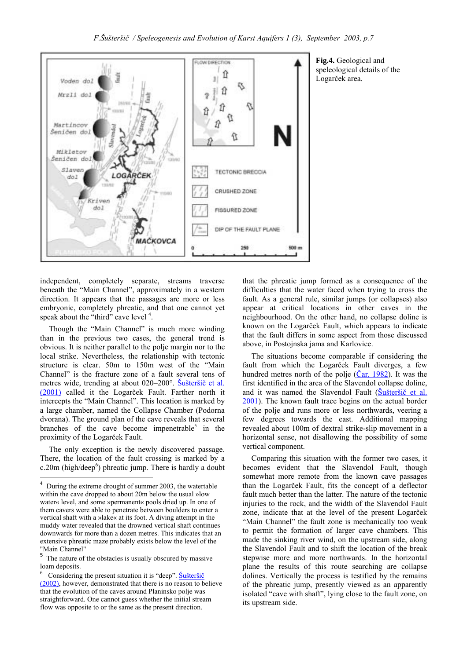

independent, completely separate, streams traverse beneath the "Main Channel", approximately in a western direction. It appears that the passages are more or less embryonic, completely phreatic, and that one cannot yet speak about the "third" cave level  $4$ .

Though the "Main Channel" is much more winding than in the previous two cases, the general trend is obvious. It is neither parallel to the polje margin nor to the local strike. Nevertheless, the relationship with tectonic structure is clear. 50m to 150m west of the "Main Channel" is the fracture zone of a fault several tens of metres wide, trending at about 020–200°. Šušteršič et al. (2001) called it the Logarček Fault. Farther north it intercepts the "Main Channel". This location is marked by a large chamber, named the Collapse Chamber (Podorna dvorana). The ground plan of the cave reveals that several branches of the cave become impenetrable<sup>5</sup> in the proximity of the Logarček Fault.

The only exception is the newly discovered passage. There, the location of the fault crossing is marked by a  $c.20m$  (high/deep<sup>6</sup>) phreatic jump. There is hardly a doubt

 $\overline{\phantom{a}}$ 

<sup>5</sup> The nature of the obstacles is usually obscured by massive loam deposits.

**Fig.4.** Geological and speleological details of the Logarček area.

that the phreatic jump formed as a consequence of the difficulties that the water faced when trying to cross the fault. As a general rule, similar jumps (or collapses) also appear at critical locations in other caves in the neighbourhood. On the other hand, no collapse doline is known on the Logarček Fault, which appears to indicate that the fault differs in some aspect from those discussed above, in Postojnska jama and Karlovice.

The situations become comparable if considering the fault from which the Logarček Fault diverges, a few hundred metres north of the polje  $(\check{C}ar, 1982)$ . It was the first identified in the area of the Slavendol collapse doline, and it was named the Slavendol Fault (Šušteršič et al. 2001). The known fault trace begins on the actual border of the polje and runs more or less northwards, veering a few degrees towards the east. Additional mapping revealed about 100m of dextral strike-slip movement in a horizontal sense, not disallowing the possibility of some vertical component.

Comparing this situation with the former two cases, it becomes evident that the Slavendol Fault, though somewhat more remote from the known cave passages than the Logarček Fault, fits the concept of a deflector fault much better than the latter. The nature of the tectonic injuries to the rock, and the width of the Slavendol Fault zone, indicate that at the level of the present Logarček "Main Channel" the fault zone is mechanically too weak to permit the formation of larger cave chambers. This made the sinking river wind, on the upstream side, along the Slavendol Fault and to shift the location of the break stepwise more and more northwards. In the horizontal plane the results of this route searching are collapse dolines. Vertically the process is testified by the remains of the phreatic jump, presently viewed as an apparently isolated "cave with shaft", lying close to the fault zone, on its upstream side.

<sup>4</sup> During the extreme drought of summer 2003, the watertable within the cave dropped to about 20m below the usual »low water« level, and some »permanent« pools dried up. In one of them cavers were able to penetrate between boulders to enter a vertical shaft with a »lake« at its foot. A diving attempt in the muddy water revealed that the drowned vertical shaft continues downwards for more than a dozen metres. This indicates that an extensive phreatic maze probably exists below the level of the "Main Channel"

 $6$  Considering the present situation it is "deep".  $\frac{\check{S}}{W}$ ušteršič (2002), however, demonstrated that there is no reason to believe that the evolution of the caves around Planinsko polje was straightforward. One cannot guess whether the initial stream flow was opposite to or the same as the present direction.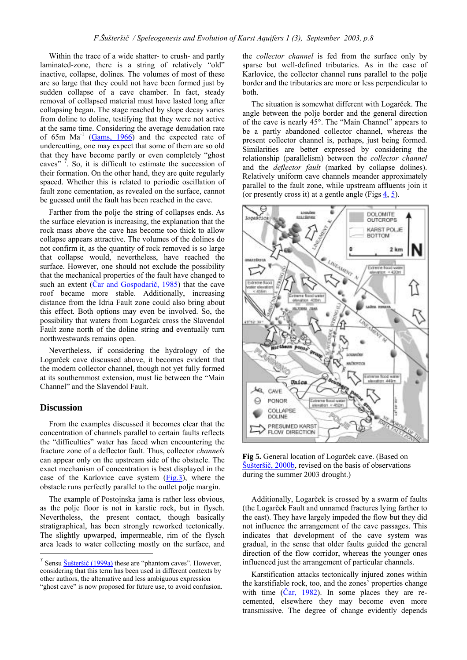Within the trace of a wide shatter- to crush- and partly laminated-zone, there is a string of relatively "old" inactive, collapse, dolines. The volumes of most of these are so large that they could not have been formed just by sudden collapse of a cave chamber. In fact, steady removal of collapsed material must have lasted long after collapsing began. The stage reached by slope decay varies from doline to doline, testifying that they were not active at the same time. Considering the average denudation rate of 65m  $Ma^{-1}$  (Gams, 1966) and the expected rate of undercutting, one may expect that some of them are so old that they have become partly or even completely "ghost" caves"  $\frac{7}{1}$ . So, it is difficult to estimate the succession of their formation. On the other hand, they are quite regularly spaced. Whether this is related to periodic oscillation of fault zone cementation, as revealed on the surface, cannot be guessed until the fault has been reached in the cave.

Farther from the polje the string of collapses ends. As the surface elevation is increasing, the explanation that the rock mass above the cave has become too thick to allow collapse appears attractive. The volumes of the dolines do not confirm it, as the quantity of rock removed is so large that collapse would, nevertheless, have reached the surface. However, one should not exclude the possibility that the mechanical properties of the fault have changed to such an extent (Čar and Gospodarič, 1985) that the cave roof became more stable. Additionally, increasing distance from the Idria Fault zone could also bring about this effect. Both options may even be involved. So, the possibility that waters from Logarček cross the Slavendol Fault zone north of the doline string and eventually turn northwestwards remains open.

Nevertheless, if considering the hydrology of the Logarček cave discussed above, it becomes evident that the modern collector channel, though not yet fully formed at its southernmost extension, must lie between the "Main" Channel" and the Slavendol Fault.

## **Discussion**

 $\overline{\phantom{a}}$ 

From the examples discussed it becomes clear that the concentration of channels parallel to certain faults reflects the "difficulties" water has faced when encountering the fracture zone of a deflector fault. Thus, collector *channels* can appear only on the upstream side of the obstacle. The exact mechanism of concentration is best displayed in the case of the Karlovice cave system  $(Fig.3)$ , where the obstacle runs perfectly parallel to the outlet polje margin.

The example of Postojnska jama is rather less obvious, as the polje floor is not in karstic rock, but in flysch. Nevertheless, the present contact, though basically stratigraphical, has been strongly reworked tectonically. The slightly upwarped, impermeable, rim of the flysch area leads to water collecting mostly on the surface, and the *collector channel* is fed from the surface only by sparse but well-defined tributaries. As in the case of Karlovice, the collector channel runs parallel to the polje border and the tributaries are more or less perpendicular to both.

The situation is somewhat different with Logarček. The angle between the polje border and the general direction of the cave is nearly 45°. The "Main Channel" appears to be a partly abandoned collector channel, whereas the present collector channel is, perhaps, just being formed. Similarities are better expressed by considering the relationship (parallelism) between the *collector channel*  and the *deflector fault* (marked by collapse dolines). Relatively uniform cave channels meander approximately parallel to the fault zone, while upstream affluents join it (or presently cross it) at a gentle angle (Figs  $\frac{4}{5}$ ).



**Fig 5.** General location of Logarček cave. (Based on  $\text{Šušteršič}, 2000b, revised on the basis of observations$ during the summer 2003 drought.)

Additionally, Logarček is crossed by a swarm of faults (the Logarček Fault and unnamed fractures lying farther to the east). They have largely impeded the flow but they did not influence the arrangement of the cave passages. This indicates that development of the cave system was gradual, in the sense that older faults guided the general direction of the flow corridor, whereas the younger ones influenced just the arrangement of particular channels.

Karstification attacks tectonically injured zones within the karstifiable rock, too, and the zones' properties change with time  $(\underline{Car}, 1982)$ . In some places they are recemented, elsewhere they may become even more transmissive. The degree of change evidently depends

<sup>&</sup>lt;sup>7</sup> Sensu Šušteršič (1999a) these are "phantom caves". However, considering that this term has been used in different contexts by other authors, the alternative and less ambiguous expression "ghost cave" is now proposed for future use, to avoid confusion.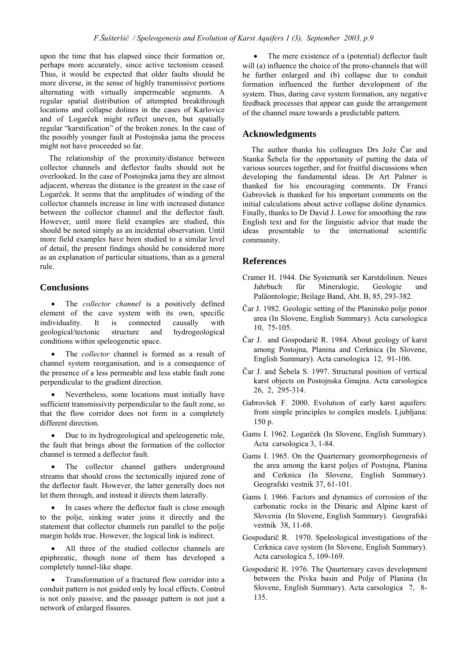upon the time that has elapsed since their formation or, perhaps more accurately, since active tectonism ceased. Thus, it would be expected that older faults should be more diverse, in the sense of highly transmissive portions alternating with virtually impermeable segments. A regular spatial distribution of attempted breakthrough locations and collapse dolines in the cases of Karlovice and of Logarček might reflect uneven, but spatially regular "karstification" of the broken zones. In the case of the possibly younger fault at Postojnska jama the process might not have proceeded so far.

The relationship of the proximity/distance between collector channels and deflector faults should not be overlooked. In the case of Postojnska jama they are almost adjacent, whereas the distance is the greatest in the case of Logarček. It seems that the amplitudes of winding of the collector channels increase in line with increased distance between the collector channel and the deflector fault. However, until more field examples are studied, this should be noted simply as an incidental observation. Until more field examples have been studied to a similar level of detail, the present findings should be considered more as an explanation of particular situations, than as a general rule.

# **Conclusions**

The *collector channel* is a positively defined element of the cave system with its own, specific individuality. It is connected causally with geological/tectonic structure and hydrogeological conditions within speleogenetic space.

The *collector* channel is formed as a result of channel system reorganisation, and is a consequence of the presence of a less permeable and less stable fault zone perpendicular to the gradient direction.

Nevertheless, some locations must initially have sufficient transmissivity perpendicular to the fault zone, so that the flow corridor does not form in a completely different direction.

• Due to its hydrogeological and speleogenetic role, the fault that brings about the formation of the collector channel is termed a deflector fault.

The collector channel gathers underground streams that should cross the tectonically injured zone of the deflector fault. However, the latter generally does not let them through, and instead it directs them laterally.

In cases where the deflector fault is close enough to the polje, sinking water joins it directly and the statement that collector channels run parallel to the polje margin holds true. However, the logical link is indirect.

• All three of the studied collector channels are epiphreatic, though none of them has developed a completely tunnel-like shape.

• Transformation of a fractured flow corridor into a conduit pattern is not guided only by local effects. Control is not only passive, and the passage pattern is not just a network of enlarged fissures.

The mere existence of a (potential) deflector fault will (a) influence the choice of the proto-channels that will be further enlarged and (b) collapse due to conduit formation influenced the further development of the system. Thus, during cave system formation, any negative feedback processes that appear can guide the arrangement of the channel maze towards a predictable pattern.

## **Acknowledgments**

The author thanks his colleagues Drs Jože Čar and Stanka Šebela for the opportunity of putting the data of various sources together, and for fruitful discussions when developing the fundamental ideas. Dr Art Palmer is thanked for his encouraging comments. Dr Franci Gabrovöek is thanked for his important comments on the initial calculations about active collapse doline dynamics. Finally, thanks to Dr David J. Lowe for smoothing the raw English text and for the linguistic advice that made the ideas presentable to the international scientific community.

# **References**

- Cramer H. 1944. Die Systematik ser Karstdolinen. Neues Jahrbuch für Mineralogie. Geologie und Pal‰ontologie; Beilage Band, Abt. B, 85, 293-382.
- Čar J. 1982. Geologic setting of the Planinsko polje ponor area (In Slovene, English Summary). Acta carsologica 10, 75-105.
- Čar J. and Gospodarič R. 1984. About geology of karst among Postojna, Planina and Cerknica (In Slovene, English Summary). Acta carsologica 12, 91-106.
- Čar J. and äebela S. 1997. Structural position of vertical karst objects on Postojnska Gmajna. Acta carsologica 26, 2, 295-314.
- Gabrovšek F. 2000. Evolution of early karst aquifers: from simple principles to complex models. Ljubljana: 150 p.
- Gams I. 1962. Logarček (In Slovene, English Summary). Acta carsologica 3, 1-84.
- Gams I. 1965. On the Quarternary geomorphogenesis of the area among the karst poljes of Postojna, Planina and Cerknica (In Slovene, English Summary). Geografski vestnik 37, 61-101.
- Gams I. 1966. Factors and dynamics of corrosion of the carbonatic rocks in the Dinaric and Alpine karst of Slovenia (In Slovene, English Summary). Geografski vestnik 38, 11-68.
- Gospodarič R. 1970. Speleological investigations of the Cerknica cave system (In Slovene, English Summary). Acta carsologica 5, 109-169.
- Gospodarič R. 1976. The Qaurternary caves development between the Pivka basin and Polje of Planina (In Slovene, English Summary). Acta carsologica 7, 8- 135.